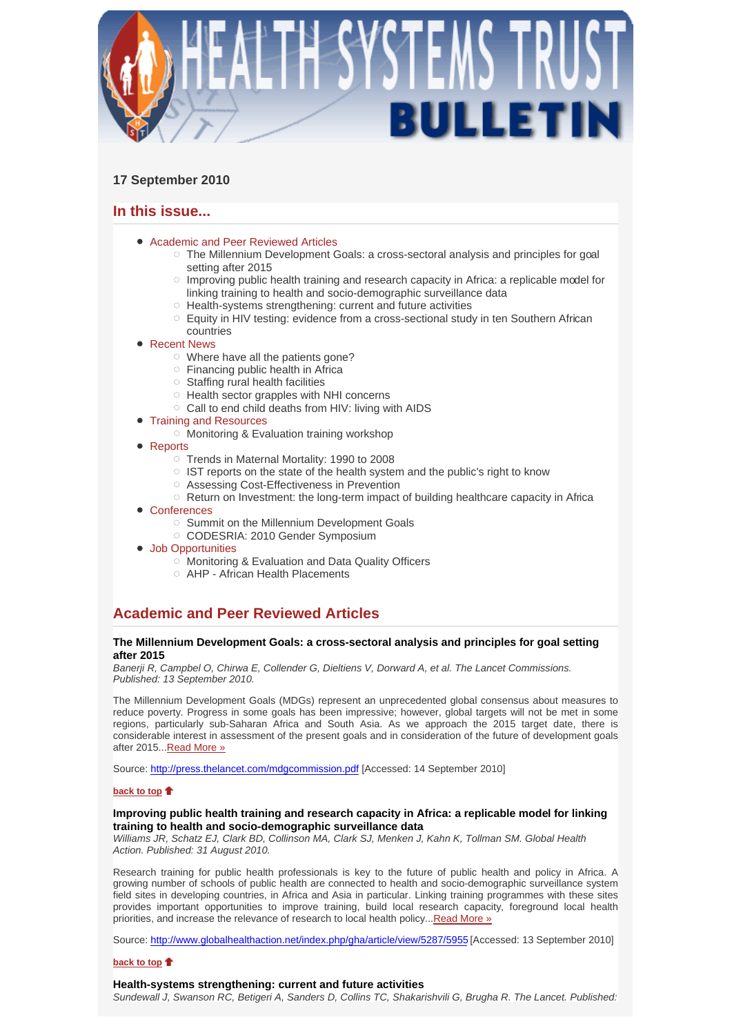

# **17 September 2010**

# **In this issue...**

- Academic and Peer Reviewed Articles
	- $\circ$  The Millennium Development Goals: a cross-sectoral analysis and principles for goal setting after 2015
	- $\circ$  Improving public health training and research capacity in Africa: a replicable model for linking training to health and socio-demographic surveillance data
	- $\circ$  Health-systems strengthening: current and future activities
	- $\circ$  Equity in HIV testing: evidence from a cross-sectional study in ten Southern African countries
- Recent News
	- Where have all the patients gone?
	- $\circ$  Financing public health in Africa
	- $\circ$  Staffing rural health facilities
	- $\circ$  Health sector grapples with NHI concerns
	- $\circ$  Call to end child deaths from HIV: living with AIDS

### Training and Resources

- $\circ$  Monitoring & Evaluation training workshop
- Reports
	- Trends in Maternal Mortality: 1990 to 2008
	- $\circ$  IST reports on the state of the health system and the public's right to know
	- Assessing Cost-Effectiveness in Prevention
	- $\circ$  Return on Investment: the long-term impact of building healthcare capacity in Africa
- Conferences
	- o Summit on the Millennium Development Goals
	- CODESRIA: 2010 Gender Symposium
- Job Opportunities
	- Monitoring & Evaluation and Data Quality Officers
	- AHP African Health Placements

# **Academic and Peer Reviewed Articles**

### **The Millennium Development Goals: a cross-sectoral analysis and principles for goal setting after 2015**

*Banerji R, Campbel O, Chirwa E, Collender G, Dieltiens V, Dorward A, et al. The Lancet Commissions. Published: 13 September 2010.*

The Millennium Development Goals (MDGs) represent an unprecedented global consensus about measures to reduce poverty. Progress in some goals has been impressive; however, global targets will not be met in some regions, particularly sub-Saharan Africa and South Asia. As we approach the 2015 target date, there is considerable interest in assessment of the present goals and in consideration of the future of development goals after 2015...Read More »

Source: http://press.thelancet.com/mdgcommission.pdf [Accessed: 14 September 2010]

### **back to top**

### **Improving public health training and research capacity in Africa: a replicable model for linking training to health and socio-demographic surveillance data**

*Williams JR, Schatz EJ, Clark BD, Collinson MA, Clark SJ, Menken J, Kahn K, Tollman SM. Global Health Action. Published: 31 August 2010.* 

Research training for public health professionals is key to the future of public health and policy in Africa. A growing number of schools of public health are connected to health and socio-demographic surveillance system field sites in developing countries, in Africa and Asia in particular. Linking training programmes with these sites provides important opportunities to improve training, build local research capacity, foreground local health priorities, and increase the relevance of research to local health policy... Read More »

Source: http://www.globalhealthaction.net/index.php/gha/article/view/5287/5955 [Accessed: 13 September 2010]

### **back to top**

### **Health-systems strengthening: current and future activities**

*Sundewall J, Swanson RC, Betigeri A, Sanders D, Collins TC, Shakarishvili G, Brugha R. The Lancet. Published:*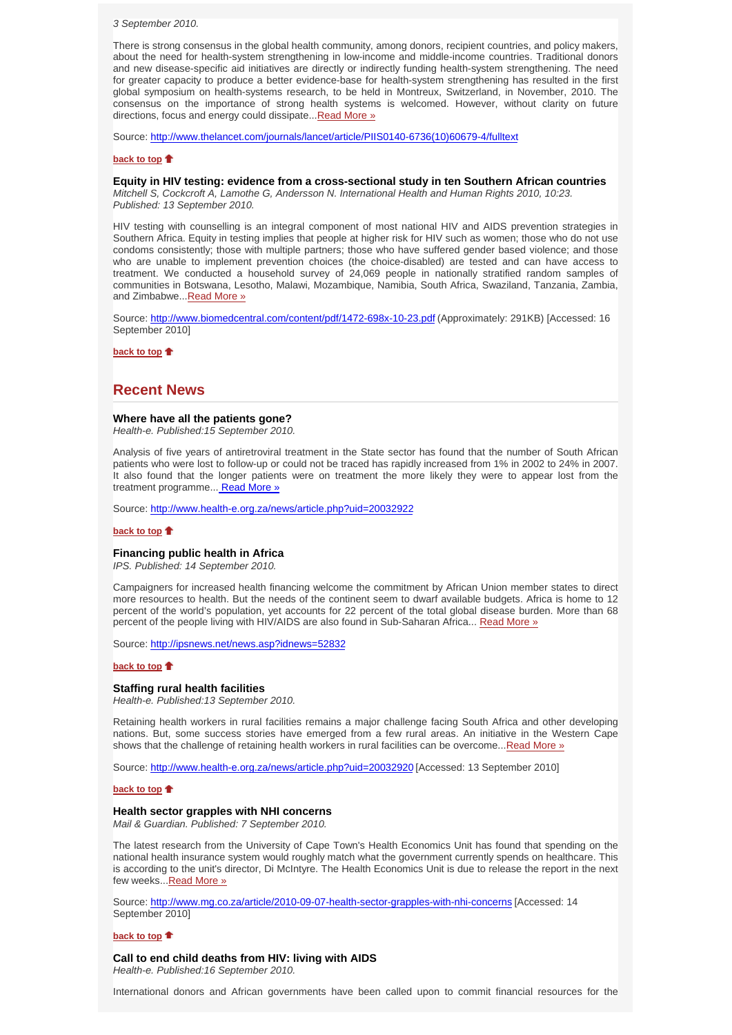*3 September 2010.* 

There is strong consensus in the global health community, among donors, recipient countries, and policy makers, about the need for health-system strengthening in low-income and middle-income countries. Traditional donors and new disease-specific aid initiatives are directly or indirectly funding health-system strengthening. The need for greater capacity to produce a better evidence-base for health-system strengthening has resulted in the first global symposium on health-systems research, to be held in Montreux, Switzerland, in November, 2010. The consensus on the importance of strong health systems is welcomed. However, without clarity on future directions, focus and energy could dissipate... Read More »

Source: http://www.thelancet.com/journals/lancet/article/PIIS0140-6736(10)60679-4/fulltext

#### **back to top**

#### **Equity in HIV testing: evidence from a cross-sectional study in ten Southern African countries**

*Mitchell S, Cockcroft A, Lamothe G, Andersson N. International Health and Human Rights 2010, 10:23. Published: 13 September 2010.* 

HIV testing with counselling is an integral component of most national HIV and AIDS prevention strategies in Southern Africa. Equity in testing implies that people at higher risk for HIV such as women; those who do not use condoms consistently; those with multiple partners; those who have suffered gender based violence; and those who are unable to implement prevention choices (the choice-disabled) are tested and can have access to treatment. We conducted a household survey of 24,069 people in nationally stratified random samples of communities in Botswana, Lesotho, Malawi, Mozambique, Namibia, South Africa, Swaziland, Tanzania, Zambia, and Zimbabwe...Read More »

Source: http://www.biomedcentral.com/content/pdf/1472-698x-10-23.pdf (Approximately: 291KB) [Accessed: 16 September 2010]

**back to top**

### **Recent News**

#### **Where have all the patients gone?**

*Health-e. Published:15 September 2010.* 

Analysis of five years of antiretroviral treatment in the State sector has found that the number of South African patients who were lost to follow-up or could not be traced has rapidly increased from 1% in 2002 to 24% in 2007. It also found that the longer patients were on treatment the more likely they were to appear lost from the treatment programme... Read More »

Source: http://www.health-e.org.za/news/article.php?uid=20032922

### **back to top**

#### **Financing public health in Africa**

*IPS. Published: 14 September 2010.*

Campaigners for increased health financing welcome the commitment by African Union member states to direct more resources to health. But the needs of the continent seem to dwarf available budgets. Africa is home to 12 percent of the world's population, yet accounts for 22 percent of the total global disease burden. More than 68 percent of the people living with HIV/AIDS are also found in Sub-Saharan Africa... Read More »

Source: http://ipsnews.net/news.asp?idnews=52832

#### **back to top**

#### **Staffing rural health facilities**

*Health-e. Published:13 September 2010.*

Retaining health workers in rural facilities remains a major challenge facing South Africa and other developing nations. But, some success stories have emerged from a few rural areas. An initiative in the Western Cape shows that the challenge of retaining health workers in rural facilities can be overcome...Read More »

Source: http://www.health-e.org.za/news/article.php?uid=20032920 [Accessed: 13 September 2010]

#### **back to top**

### **Health sector grapples with NHI concerns**

*Mail & Guardian. Published: 7 September 2010.*

The latest research from the University of Cape Town's Health Economics Unit has found that spending on the national health insurance system would roughly match what the government currently spends on healthcare. This is according to the unit's director, Di McIntyre. The Health Economics Unit is due to release the report in the next few weeks... Read More »

Source: http://www.mg.co.za/article/2010-09-07-health-sector-grapples-with-nhi-concerns [Accessed: 14 September 2010]

#### **back to top**

#### **Call to end child deaths from HIV: living with AIDS**

*Health-e. Published:16 September 2010.*

International donors and African governments have been called upon to commit financial resources for the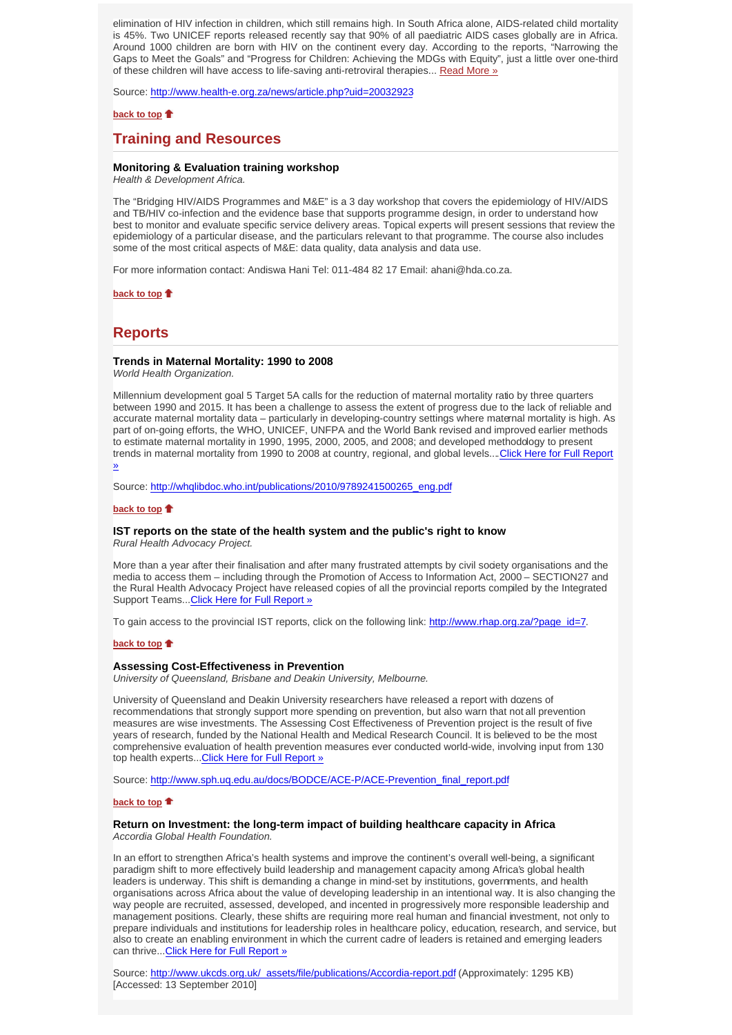elimination of HIV infection in children, which still remains high. In South Africa alone, AIDS-related child mortality is 45%. Two UNICEF reports released recently say that 90% of all paediatric AIDS cases globally are in Africa. Around 1000 children are born with HIV on the continent every day. According to the reports, "Narrowing the Gaps to Meet the Goals" and "Progress for Children: Achieving the MDGs with Equity", just a little over one-third of these children will have access to life-saving anti-retroviral therapies... Read More »

Source: http://www.health-e.org.za/news/article.php?uid=20032923

### **back to top**

### **Training and Resources**

### **Monitoring & Evaluation training workshop**

*Health & Development Africa.*

The "Bridging HIV/AIDS Programmes and M&E" is a 3 day workshop that covers the epidemiology of HIV/AIDS and TB/HIV co-infection and the evidence base that supports programme design, in order to understand how best to monitor and evaluate specific service delivery areas. Topical experts will present sessions that review the epidemiology of a particular disease, and the particulars relevant to that programme. The course also includes some of the most critical aspects of M&E: data quality, data analysis and data use.

For more information contact: Andiswa Hani Tel: 011-484 82 17 Email: ahani@hda.co.za.

**back to top**

### **Reports**

#### **Trends in Maternal Mortality: 1990 to 2008**

*World Health Organization.*

Millennium development goal 5 Target 5A calls for the reduction of maternal mortality ratio by three quarters between 1990 and 2015. It has been a challenge to assess the extent of progress due to the lack of reliable and accurate maternal mortality data – particularly in developing-country settings where maternal mortality is high. As part of on-going efforts, the WHO, UNICEF, UNFPA and the World Bank revised and improved earlier methods to estimate maternal mortality in 1990, 1995, 2000, 2005, and 2008; and developed methodology to present trends in maternal mortality from 1990 to 2008 at country, regional, and global levels....Click Here for Full Report »

Source: http://whqlibdoc.who.int/publications/2010/9789241500265\_eng.pdf

#### **back to top**

### **IST reports on the state of the health system and the public's right to know**

*Rural Health Advocacy Project.*

More than a year after their finalisation and after many frustrated attempts by civil society organisations and the media to access them – including through the Promotion of Access to Information Act, 2000 – SECTION27 and the Rural Health Advocacy Project have released copies of all the provincial reports compiled by the Integrated Support Teams...Click Here for Full Report »

To gain access to the provincial IST reports, click on the following link: http://www.rhap.org.za/?page\_id=7.

#### **back to top**

#### **Assessing Cost-Effectiveness in Prevention**

*University of Queensland, Brisbane and Deakin University, Melbourne.*

University of Queensland and Deakin University researchers have released a report with dozens of recommendations that strongly support more spending on prevention, but also warn that not all prevention measures are wise investments. The Assessing Cost Effectiveness of Prevention project is the result of five years of research, funded by the National Health and Medical Research Council. It is believed to be the most comprehensive evaluation of health prevention measures ever conducted world-wide, involving input from 130 top health experts...Click Here for Full Report »

Source: http://www.sph.uq.edu.au/docs/BODCE/ACE-P/ACE-Prevention\_final\_report.pdf

#### **back to top**

# **Return on Investment: the long-term impact of building healthcare capacity in Africa**

*Accordia Global Health Foundation.*

In an effort to strengthen Africa's health systems and improve the continent's overall well-being, a significant paradigm shift to more effectively build leadership and management capacity among Africa's global health leaders is underway. This shift is demanding a change in mind-set by institutions, governments, and health organisations across Africa about the value of developing leadership in an intentional way. It is also changing the way people are recruited, assessed, developed, and incented in progressively more responsible leadership and management positions. Clearly, these shifts are requiring more real human and financial investment, not only to prepare individuals and institutions for leadership roles in healthcare policy, education, research, and service, but also to create an enabling environment in which the current cadre of leaders is retained and emerging leaders can thrive...Click Here for Full Report »

Source: http://www.ukcds.org.uk/\_assets/file/publications/Accordia-report.pdf (Approximately: 1295 KB) [Accessed: 13 September 2010]